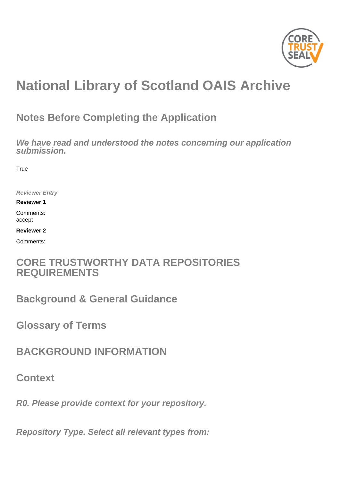

# **National Library of Scotland OAIS Archive**

# **Notes Before Completing the Application**

**We have read and understood the notes concerning our application submission.**

**True** 

**Reviewer Entry**

**Reviewer 1**

Comments: accept

**Reviewer 2**

Comments:

## **CORE TRUSTWORTHY DATA REPOSITORIES REQUIREMENTS**

**Background & General Guidance**

**Glossary of Terms**

**BACKGROUND INFORMATION**

**Context**

**R0. Please provide context for your repository.**

**Repository Type. Select all relevant types from:**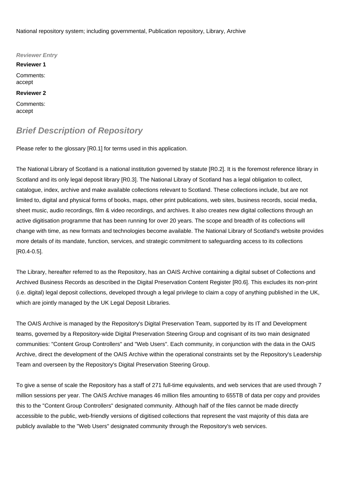National repository system; including governmental, Publication repository, Library, Archive

**Reviewer Entry Reviewer 1** Comments: accept **Reviewer 2** Comments: accept

## **Brief Description of Repository**

Please refer to the glossary [R0.1] for terms used in this application.

The National Library of Scotland is a national institution governed by statute [R0.2]. It is the foremost reference library in Scotland and its only legal deposit library [R0.3]. The National Library of Scotland has a legal obligation to collect, catalogue, index, archive and make available collections relevant to Scotland. These collections include, but are not limited to, digital and physical forms of books, maps, other print publications, web sites, business records, social media, sheet music, audio recordings, film & video recordings, and archives. It also creates new digital collections through an active digitisation programme that has been running for over 20 years. The scope and breadth of its collections will change with time, as new formats and technologies become available. The National Library of Scotland's website provides more details of its mandate, function, services, and strategic commitment to safeguarding access to its collections [R0.4-0.5].

The Library, hereafter referred to as the Repository, has an OAIS Archive containing a digital subset of Collections and Archived Business Records as described in the Digital Preservation Content Register [R0.6]. This excludes its non-print (i.e. digital) legal deposit collections, developed through a legal privilege to claim a copy of anything published in the UK, which are jointly managed by the UK Legal Deposit Libraries.

The OAIS Archive is managed by the Repository's Digital Preservation Team, supported by its IT and Development teams, governed by a Repository-wide Digital Preservation Steering Group and cognisant of its two main designated communities: "Content Group Controllers" and "Web Users". Each community, in conjunction with the data in the OAIS Archive, direct the development of the OAIS Archive within the operational constraints set by the Repository's Leadership Team and overseen by the Repository's Digital Preservation Steering Group.

To give a sense of scale the Repository has a staff of 271 full-time equivalents, and web services that are used through 7 million sessions per year. The OAIS Archive manages 46 million files amounting to 655TB of data per copy and provides this to the "Content Group Controllers" designated community. Although half of the files cannot be made directly accessible to the public, web-friendly versions of digitised collections that represent the vast majority of this data are publicly available to the "Web Users" designated community through the Repository's web services.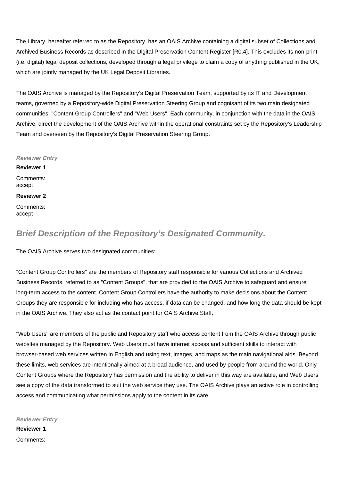The Library, hereafter referred to as the Repository, has an OAIS Archive containing a digital subset of Collections and Archived Business Records as described in the Digital Preservation Content Register [R0.4]. This excludes its non-print (i.e. digital) legal deposit collections, developed through a legal privilege to claim a copy of anything published in the UK, which are jointly managed by the UK Legal Deposit Libraries.

The OAIS Archive is managed by the Repository's Digital Preservation Team, supported by its IT and Development teams, governed by a Repository-wide Digital Preservation Steering Group and cognisant of its two main designated communities: "Content Group Controllers" and "Web Users". Each community, in conjunction with the data in the OAIS Archive, direct the development of the OAIS Archive within the operational constraints set by the Repository's Leadership Team and overseen by the Repository's Digital Preservation Steering Group.

**Reviewer Entry Reviewer 1**

Comments: accept

**Reviewer 2**

Comments: accept

## **Brief Description of the Repository's Designated Community.**

The OAIS Archive serves two designated communities:

"Content Group Controllers" are the members of Repository staff responsible for various Collections and Archived Business Records, referred to as "Content Groups", that are provided to the OAIS Archive to safeguard and ensure long-term access to the content. Content Group Controllers have the authority to make decisions about the Content Groups they are responsible for including who has access, if data can be changed, and how long the data should be kept in the OAIS Archive. They also act as the contact point for OAIS Archive Staff.

"Web Users" are members of the public and Repository staff who access content from the OAIS Archive through public websites managed by the Repository. Web Users must have internet access and sufficient skills to interact with browser-based web services written in English and using text, images, and maps as the main navigational aids. Beyond these limits, web services are intentionally aimed at a broad audience, and used by people from around the world. Only Content Groups where the Repository has permission and the ability to deliver in this way are available, and Web Users see a copy of the data transformed to suit the web service they use. The OAIS Archive plays an active role in controlling access and communicating what permissions apply to the content in its care.

**Reviewer Entry**

**Reviewer 1** Comments: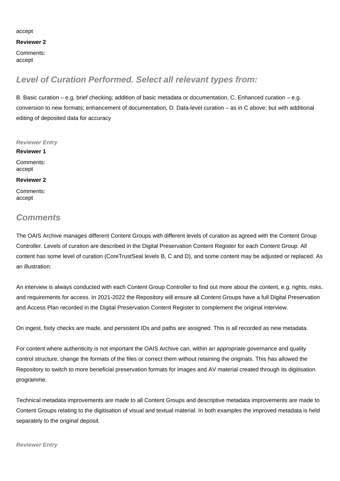#### accept

#### **Reviewer 2**

Comments: accept

## **Level of Curation Performed. Select all relevant types from:**

B. Basic curation – e.g. brief checking; addition of basic metadata or documentation, C. Enhanced curation – e.g. conversion to new formats; enhancement of documentation, D. Data-level curation – as in C above; but with additional editing of deposited data for accuracy

**Reviewer Entry Reviewer 1** Comments: accept **Reviewer 2** Comments: accept

### **Comments**

The OAIS Archive manages different Content Groups with different levels of curation as agreed with the Content Group Controller. Levels of curation are described in the Digital Preservation Content Register for each Content Group. All content has some level of curation (CoreTrustSeal levels B, C and D), and some content may be adjusted or replaced. As an illustration:

An interview is always conducted with each Content Group Controller to find out more about the content, e.g. rights, risks, and requirements for access. In 2021-2022 the Repository will ensure all Content Groups have a full Digital Preservation and Access Plan recorded in the Digital Preservation Content Register to complement the original interview.

On ingest, fixity checks are made, and persistent IDs and paths are assigned. This is all recorded as new metadata.

For content where authenticity is not important the OAIS Archive can, within an appropriate governance and quality control structure, change the formats of the files or correct them without retaining the originals. This has allowed the Repository to switch to more beneficial preservation formats for images and AV material created through its digitisation programme.

Technical metadata improvements are made to all Content Groups and descriptive metadata improvements are made to Content Groups relating to the digitisation of visual and textual material. In both examples the improved metadata is held separately to the original deposit.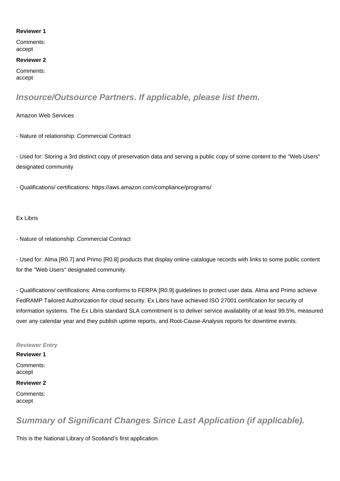#### **Reviewer 1**

Comments: accept

#### **Reviewer 2**

Comments: accept

## **Insource/Outsource Partners. If applicable, please list them.**

Amazon Web Services

- Nature of relationship: Commercial Contract

- Used for: Storing a 3rd distinct copy of preservation data and serving a public copy of some content to the "Web Users" designated community

- Qualifications/ certifications:<https://aws.amazon.com/compliance/programs/>

Ex Libris

- Nature of relationship: Commercial Contract

- Used for: Alma [R0.7] and Primo [R0.8] products that display online catalogue records with links to some public content for the "Web Users" designated community.

- Qualifications/ certifications: Alma conforms to FERPA [R0.9] guidelines to protect user data. Alma and Primo achieve FedRAMP Tailored Authorization for cloud security. Ex Libris have achieved ISO 27001 certification for security of information systems. The Ex Libris standard SLA commitment is to deliver service availability of at least 99.5%, measured over any calendar year and they publish uptime reports, and Root-Cause-Analysis reports for downtime events.

#### **Reviewer Entry**

#### **Reviewer 1**

Comments: accept

#### **Reviewer 2**

Comments: accept

## **Summary of Significant Changes Since Last Application (if applicable).**

This is the National Library of Scotland's first application.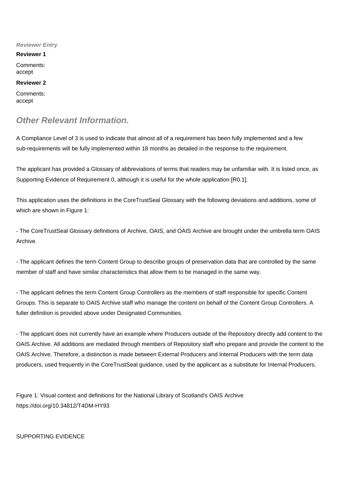#### **Reviewer Entry**

**Reviewer 1**

Comments: accept

#### **Reviewer 2**

Comments: accept

### **Other Relevant Information.**

A Compliance Level of 3 is used to indicate that almost all of a requirement has been fully implemented and a few sub-requirements will be fully implemented within 18 months as detailed in the response to the requirement.

The applicant has provided a Glossary of abbreviations of terms that readers may be unfamiliar with. It is listed once, as Supporting Evidence of Requirement 0, although it is useful for the whole application [R0.1].

This application uses the definitions in the CoreTrustSeal Glossary with the following deviations and additions, some of which are shown in Figure 1:

- The CoreTrustSeal Glossary definitions of Archive, OAIS, and OAIS Archive are brought under the umbrella term OAIS Archive.

- The applicant defines the term Content Group to describe groups of preservation data that are controlled by the same member of staff and have similar characteristics that allow them to be managed in the same way.

- The applicant defines the term Content Group Controllers as the members of staff responsible for specific Content Groups. This is separate to OAIS Archive staff who manage the content on behalf of the Content Group Controllers. A fuller definition is provided above under Designated Communities.

- The applicant does not currently have an example where Producers outside of the Repository directly add content to the OAIS Archive. All additions are mediated through members of Repository staff who prepare and provide the content to the OAIS Archive. Therefore, a distinction is made between External Producers and Internal Producers with the term data producers, used frequently in the CoreTrustSeal guidance, used by the applicant as a substitute for Internal Producers.

Figure 1: Visual context and definitions for the National Library of Scotland's OAIS Archive <https://doi.org/10.34812/T4DM-HY93>

#### SUPPORTING EVIDENCE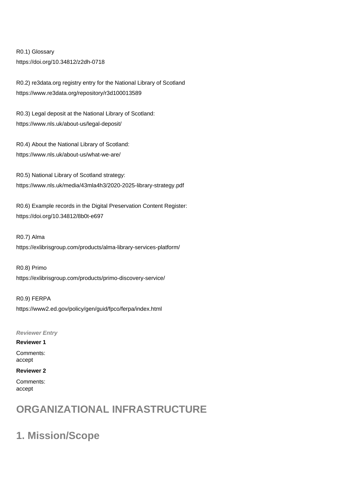R0.1) Glossary <https://doi.org/10.34812/z2dh-0718>

R0.2) re3data.org registry entry for the National Library of Scotland <https://www.re3data.org/repository/r3d100013589>

R0.3) Legal deposit at the National Library of Scotland: <https://www.nls.uk/about-us/legal-deposit/>

R0.4) About the National Library of Scotland: <https://www.nls.uk/about-us/what-we-are/>

R0.5) National Library of Scotland strategy: <https://www.nls.uk/media/43mla4h3/2020-2025-library-strategy.pdf>

R0.6) Example records in the Digital Preservation Content Register: <https://doi.org/10.34812/8b0t-e697>

R0.7) Alma <https://exlibrisgroup.com/products/alma-library-services-platform/>

R0.8) Primo <https://exlibrisgroup.com/products/primo-discovery-service/>

R0.9) FERPA <https://www2.ed.gov/policy/gen/guid/fpco/ferpa/index.html>

**Reviewer Entry**

#### **Reviewer 1**

Comments: accept

#### **Reviewer 2**

Comments: accept

# **ORGANIZATIONAL INFRASTRUCTURE**

# **1. Mission/Scope**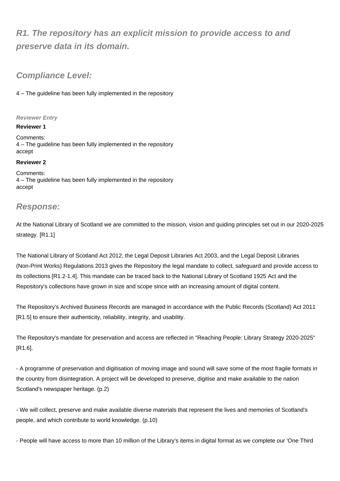## **R1. The repository has an explicit mission to provide access to and preserve data in its domain.**

## **Compliance Level:**

4 – The guideline has been fully implemented in the repository

#### **Reviewer Entry**

#### **Reviewer 1**

Comments: 4 – The guideline has been fully implemented in the repository accept

#### **Reviewer 2**

Comments: 4 – The guideline has been fully implemented in the repository accept

### **Response:**

At the National Library of Scotland we are committed to the mission, vision and guiding principles set out in our 2020-2025 strategy. [R1.1]

The National Library of Scotland Act 2012, the Legal Deposit Libraries Act 2003, and the Legal Deposit Libraries (Non-Print Works) Regulations 2013 gives the Repository the legal mandate to collect, safeguard and provide access to its collections [R1.2-1.4]. This mandate can be traced back to the National Library of Scotland 1925 Act and the Repository's collections have grown in size and scope since with an increasing amount of digital content.

The Repository's Archived Business Records are managed in accordance with the Public Records (Scotland) Act 2011 [R1.5] to ensure their authenticity, reliability, integrity, and usability.

The Repository's mandate for preservation and access are reflected in "Reaching People: Library Strategy 2020-2025" [R1.6].

- A programme of preservation and digitisation of moving image and sound will save some of the most fragile formats in the country from disintegration. A project will be developed to preserve, digitise and make available to the nation Scotland's newspaper heritage. (p.2)

- We will collect, preserve and make available diverse materials that represent the lives and memories of Scotland's people, and which contribute to world knowledge. (p.10)

- People will have access to more than 10 million of the Library's items in digital format as we complete our 'One Third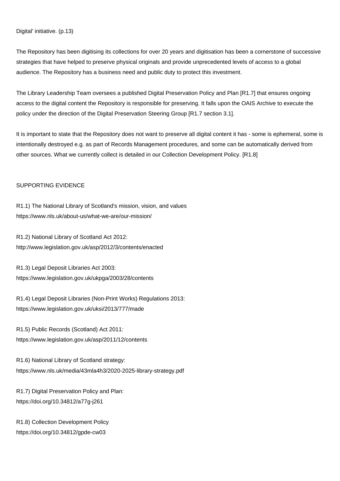The Repository has been digitising its collections for over 20 years and digitisation has been a cornerstone of successive strategies that have helped to preserve physical originals and provide unprecedented levels of access to a global audience. The Repository has a business need and public duty to protect this investment.

The Library Leadership Team oversees a published Digital Preservation Policy and Plan [R1.7] that ensures ongoing access to the digital content the Repository is responsible for preserving. It falls upon the OAIS Archive to execute the policy under the direction of the Digital Preservation Steering Group [R1.7 section 3.1].

It is important to state that the Repository does not want to preserve all digital content it has - some is ephemeral, some is intentionally destroyed e.g. as part of Records Management procedures, and some can be automatically derived from other sources. What we currently collect is detailed in our Collection Development Policy. [R1.8]

#### SUPPORTING EVIDENCE

R1.1) The National Library of Scotland's mission, vision, and values <https://www.nls.uk/about-us/what-we-are/our-mission/>

R1.2) National Library of Scotland Act 2012: <http://www.legislation.gov.uk/asp/2012/3/contents/enacted>

R1.3) Legal Deposit Libraries Act 2003: <https://www.legislation.gov.uk/ukpga/2003/28/contents>

R1.4) Legal Deposit Libraries (Non-Print Works) Regulations 2013: <https://www.legislation.gov.uk/uksi/2013/777/made>

R1.5) Public Records (Scotland) Act 2011: <https://www.legislation.gov.uk/asp/2011/12/contents>

R1.6) National Library of Scotland strategy: <https://www.nls.uk/media/43mla4h3/2020-2025-library-strategy.pdf>

R1.7) Digital Preservation Policy and Plan: <https://doi.org/10.34812/a77g-j261>

R1.8) Collection Development Policy <https://doi.org/10.34812/gpde-cw03>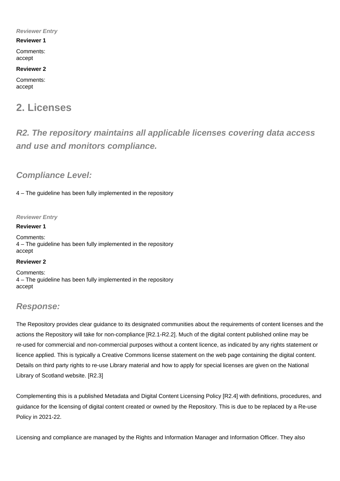#### **Reviewer Entry**

#### **Reviewer 1**

Comments: accept

#### **Reviewer 2**

Comments: accept

## **2. Licenses**

**R2. The repository maintains all applicable licenses covering data access and use and monitors compliance.**

## **Compliance Level:**

4 – The guideline has been fully implemented in the repository

#### **Reviewer Entry**

#### **Reviewer 1**

Comments: 4 – The guideline has been fully implemented in the repository accept

#### **Reviewer 2**

Comments: 4 – The guideline has been fully implemented in the repository accept

## **Response:**

The Repository provides clear guidance to its designated communities about the requirements of content licenses and the actions the Repository will take for non-compliance [R2.1-R2.2]. Much of the digital content published online may be re-used for commercial and non-commercial purposes without a content licence, as indicated by any rights statement or licence applied. This is typically a Creative Commons license statement on the web page containing the digital content. Details on third party rights to re-use Library material and how to apply for special licenses are given on the National Library of Scotland website. [R2.3]

Complementing this is a published Metadata and Digital Content Licensing Policy [R2.4] with definitions, procedures, and guidance for the licensing of digital content created or owned by the Repository. This is due to be replaced by a Re-use Policy in 2021-22.

Licensing and compliance are managed by the Rights and Information Manager and Information Officer. They also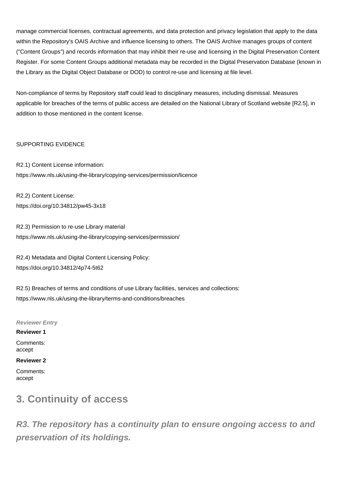manage commercial licenses, contractual agreements, and data protection and privacy legislation that apply to the data within the Repository's OAIS Archive and influence licensing to others. The OAIS Archive manages groups of content ("Content Groups") and records information that may inhibit their re-use and licensing in the Digital Preservation Content Register. For some Content Groups additional metadata may be recorded in the Digital Preservation Database (known in the Library as the Digital Object Database or DOD) to control re-use and licensing at file level.

Non-compliance of terms by Repository staff could lead to disciplinary measures, including dismissal. Measures applicable for breaches of the terms of public access are detailed on the National Library of Scotland website [R2.5], in addition to those mentioned in the content license.

#### SUPPORTING EVIDENCE

R2.1) Content License information: <https://www.nls.uk/using-the-library/copying-services/permission/licence>

R2.2) Content License: <https://doi.org/10.34812/pw45-3x18>

R2.3) Permission to re-use Library material <https://www.nls.uk/using-the-library/copying-services/permission/>

R2.4) Metadata and Digital Content Licensing Policy: <https://doi.org/10.34812/4p74-5t62>

R2.5) Breaches of terms and conditions of use Library facilities, services and collections: <https://www.nls.uk/using-the-library/terms-and-conditions/breaches>

**Reviewer Entry**

#### **Reviewer 1**

Comments: accept

#### **Reviewer 2**

Comments: accept

## **3. Continuity of access**

**R3. The repository has a continuity plan to ensure ongoing access to and preservation of its holdings.**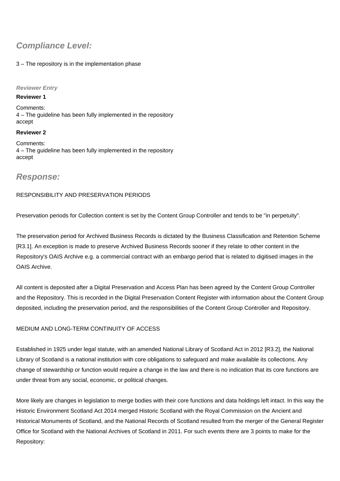## **Compliance Level:**

#### 3 – The repository is in the implementation phase

#### **Reviewer Entry**

#### **Reviewer 1**

Comments: 4 – The guideline has been fully implemented in the repository accept

#### **Reviewer 2**

Comments: 4 – The guideline has been fully implemented in the repository accept

### **Response:**

#### RESPONSIBILITY AND PRESERVATION PERIODS

Preservation periods for Collection content is set by the Content Group Controller and tends to be "in perpetuity".

The preservation period for Archived Business Records is dictated by the Business Classification and Retention Scheme [R3.1]. An exception is made to preserve Archived Business Records sooner if they relate to other content in the Repository's OAIS Archive e.g. a commercial contract with an embargo period that is related to digitised images in the OAIS Archive.

All content is deposited after a Digital Preservation and Access Plan has been agreed by the Content Group Controller and the Repository. This is recorded in the Digital Preservation Content Register with information about the Content Group deposited, including the preservation period, and the responsibilities of the Content Group Controller and Repository.

#### MEDIUM AND LONG-TERM CONTINUITY OF ACCESS

Established in 1925 under legal statute, with an amended National Library of Scotland Act in 2012 [R3.2], the National Library of Scotland is a national institution with core obligations to safeguard and make available its collections. Any change of stewardship or function would require a change in the law and there is no indication that its core functions are under threat from any social, economic, or political changes.

More likely are changes in legislation to merge bodies with their core functions and data holdings left intact. In this way the Historic Environment Scotland Act 2014 merged Historic Scotland with the Royal Commission on the Ancient and Historical Monuments of Scotland, and the National Records of Scotland resulted from the merger of the General Register Office for Scotland with the National Archives of Scotland in 2011. For such events there are 3 points to make for the Repository: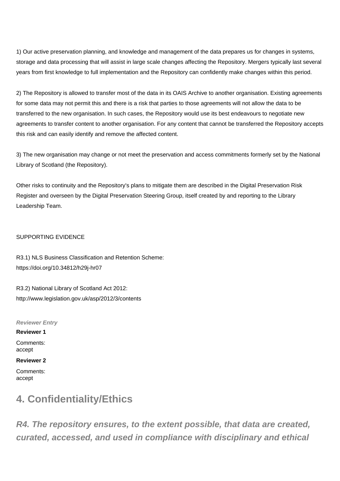1) Our active preservation planning, and knowledge and management of the data prepares us for changes in systems, storage and data processing that will assist in large scale changes affecting the Repository. Mergers typically last several years from first knowledge to full implementation and the Repository can confidently make changes within this period.

2) The Repository is allowed to transfer most of the data in its OAIS Archive to another organisation. Existing agreements for some data may not permit this and there is a risk that parties to those agreements will not allow the data to be transferred to the new organisation. In such cases, the Repository would use its best endeavours to negotiate new agreements to transfer content to another organisation. For any content that cannot be transferred the Repository accepts this risk and can easily identify and remove the affected content.

3) The new organisation may change or not meet the preservation and access commitments formerly set by the National Library of Scotland (the Repository).

Other risks to continuity and the Repository's plans to mitigate them are described in the Digital Preservation Risk Register and overseen by the Digital Preservation Steering Group, itself created by and reporting to the Library Leadership Team.

#### SUPPORTING EVIDENCE

R3.1) NLS Business Classification and Retention Scheme: <https://doi.org/10.34812/h29j-hr07>

R3.2) National Library of Scotland Act 2012: <http://www.legislation.gov.uk/asp/2012/3/contents>

**Reviewer Entry**

**Reviewer 1**

Comments: accept

#### **Reviewer 2**

Comments: accept

## **4. Confidentiality/Ethics**

**R4. The repository ensures, to the extent possible, that data are created, curated, accessed, and used in compliance with disciplinary and ethical**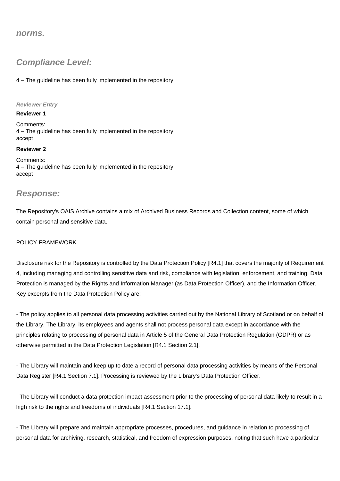#### **norms.**

### **Compliance Level:**

4 – The guideline has been fully implemented in the repository

#### **Reviewer Entry**

#### **Reviewer 1**

Comments: 4 – The guideline has been fully implemented in the repository accept

#### **Reviewer 2**

Comments: 4 – The guideline has been fully implemented in the repository accept

### **Response:**

The Repository's OAIS Archive contains a mix of Archived Business Records and Collection content, some of which contain personal and sensitive data.

#### POLICY FRAMEWORK

Disclosure risk for the Repository is controlled by the Data Protection Policy [R4.1] that covers the majority of Requirement 4, including managing and controlling sensitive data and risk, compliance with legislation, enforcement, and training. Data Protection is managed by the Rights and Information Manager (as Data Protection Officer), and the Information Officer. Key excerpts from the Data Protection Policy are:

- The policy applies to all personal data processing activities carried out by the National Library of Scotland or on behalf of the Library. The Library, its employees and agents shall not process personal data except in accordance with the principles relating to processing of personal data in Article 5 of the General Data Protection Regulation (GDPR) or as otherwise permitted in the Data Protection Legislation [R4.1 Section 2.1].

- The Library will maintain and keep up to date a record of personal data processing activities by means of the Personal Data Register [R4.1 Section 7.1]. Processing is reviewed by the Library's Data Protection Officer.

- The Library will conduct a data protection impact assessment prior to the processing of personal data likely to result in a high risk to the rights and freedoms of individuals [R4.1 Section 17.1].

- The Library will prepare and maintain appropriate processes, procedures, and guidance in relation to processing of personal data for archiving, research, statistical, and freedom of expression purposes, noting that such have a particular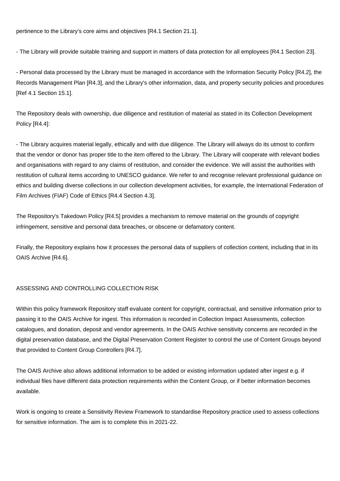pertinence to the Library's core aims and objectives [R4.1 Section 21.1].

- The Library will provide suitable training and support in matters of data protection for all employees [R4.1 Section 23].

- Personal data processed by the Library must be managed in accordance with the Information Security Policy [R4.2], the Records Management Plan [R4.3], and the Library's other information, data, and property security policies and procedures [Ref 4.1 Section 15.1].

The Repository deals with ownership, due diligence and restitution of material as stated in its Collection Development Policy [R4.4]:

- The Library acquires material legally, ethically and with due diligence. The Library will always do its utmost to confirm that the vendor or donor has proper title to the item offered to the Library. The Library will cooperate with relevant bodies and organisations with regard to any claims of restitution, and consider the evidence. We will assist the authorities with restitution of cultural items according to UNESCO guidance. We refer to and recognise relevant professional guidance on ethics and building diverse collections in our collection development activities, for example, the International Federation of Film Archives (FIAF) Code of Ethics [R4.4 Section 4.3].

The Repository's Takedown Policy [R4.5] provides a mechanism to remove material on the grounds of copyright infringement, sensitive and personal data breaches, or obscene or defamatory content.

Finally, the Repository explains how it processes the personal data of suppliers of collection content, including that in its OAIS Archive [R4.6].

#### ASSESSING AND CONTROLLING COLLECTION RISK

Within this policy framework Repository staff evaluate content for copyright, contractual, and sensitive information prior to passing it to the OAIS Archive for ingest. This information is recorded in Collection Impact Assessments, collection catalogues, and donation, deposit and vendor agreements. In the OAIS Archive sensitivity concerns are recorded in the digital preservation database, and the Digital Preservation Content Register to control the use of Content Groups beyond that provided to Content Group Controllers [R4.7].

The OAIS Archive also allows additional information to be added or existing information updated after ingest e.g. if individual files have different data protection requirements within the Content Group, or if better information becomes available.

Work is ongoing to create a Sensitivity Review Framework to standardise Repository practice used to assess collections for sensitive information. The aim is to complete this in 2021-22.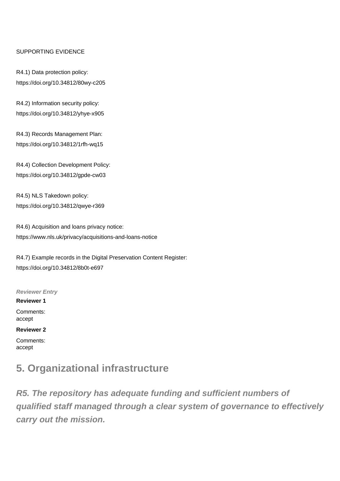#### SUPPORTING EVIDENCE

R4.1) Data protection policy: <https://doi.org/10.34812/80wy-c205>

R4.2) Information security policy: <https://doi.org/10.34812/yhye-x905>

R4.3) Records Management Plan: <https://doi.org/10.34812/1rfh-wq15>

R4.4) Collection Development Policy: <https://doi.org/10.34812/gpde-cw03>

R4.5) NLS Takedown policy: <https://doi.org/10.34812/qwye-r369>

R4.6) Acquisition and loans privacy notice: <https://www.nls.uk/privacy/acquisitions-and-loans-notice>

R4.7) Example records in the Digital Preservation Content Register: <https://doi.org/10.34812/8b0t-e697>

#### **Reviewer Entry**

#### **Reviewer 1**

Comments: accept

**Reviewer 2**

Comments: accept

## **5. Organizational infrastructure**

**R5. The repository has adequate funding and sufficient numbers of qualified staff managed through a clear system of governance to effectively carry out the mission.**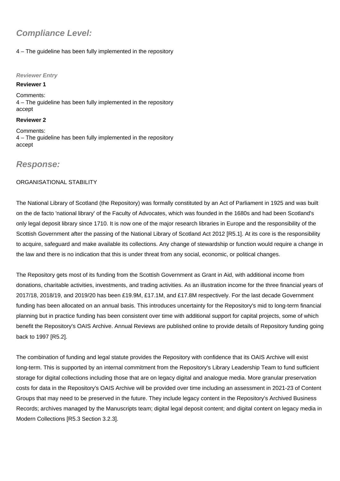## **Compliance Level:**

#### 4 – The guideline has been fully implemented in the repository

#### **Reviewer Entry**

#### **Reviewer 1**

Comments: 4 – The guideline has been fully implemented in the repository accept

#### **Reviewer 2**

Comments: 4 – The guideline has been fully implemented in the repository accept

### **Response:**

#### ORGANISATIONAL STABILITY

The National Library of Scotland (the Repository) was formally constituted by an Act of Parliament in 1925 and was built on the de facto 'national library' of the Faculty of Advocates, which was founded in the 1680s and had been Scotland's only legal deposit library since 1710. It is now one of the major research libraries in Europe and the responsibility of the Scottish Government after the passing of the National Library of Scotland Act 2012 [R5.1]. At its core is the responsibility to acquire, safeguard and make available its collections. Any change of stewardship or function would require a change in the law and there is no indication that this is under threat from any social, economic, or political changes.

The Repository gets most of its funding from the Scottish Government as Grant in Aid, with additional income from donations, charitable activities, investments, and trading activities. As an illustration income for the three financial years of 2017/18, 2018/19, and 2019/20 has been £19.9M, £17.1M, and £17.8M respectively. For the last decade Government funding has been allocated on an annual basis. This introduces uncertainty for the Repository's mid to long-term financial planning but in practice funding has been consistent over time with additional support for capital projects, some of which benefit the Repository's OAIS Archive. Annual Reviews are published online to provide details of Repository funding going back to 1997 [R5.2].

The combination of funding and legal statute provides the Repository with confidence that its OAIS Archive will exist long-term. This is supported by an internal commitment from the Repository's Library Leadership Team to fund sufficient storage for digital collections including those that are on legacy digital and analogue media. More granular preservation costs for data in the Repository's OAIS Archive will be provided over time including an assessment in 2021-23 of Content Groups that may need to be preserved in the future. They include legacy content in the Repository's Archived Business Records; archives managed by the Manuscripts team; digital legal deposit content; and digital content on legacy media in Modern Collections [R5.3 Section 3.2.3].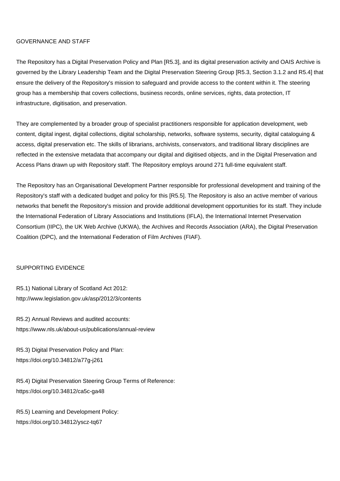#### GOVERNANCE AND STAFF

The Repository has a Digital Preservation Policy and Plan [R5.3], and its digital preservation activity and OAIS Archive is governed by the Library Leadership Team and the Digital Preservation Steering Group [R5.3, Section 3.1.2 and R5.4] that ensure the delivery of the Repository's mission to safeguard and provide access to the content within it. The steering group has a membership that covers collections, business records, online services, rights, data protection, IT infrastructure, digitisation, and preservation.

They are complemented by a broader group of specialist practitioners responsible for application development, web content, digital ingest, digital collections, digital scholarship, networks, software systems, security, digital cataloguing & access, digital preservation etc. The skills of librarians, archivists, conservators, and traditional library disciplines are reflected in the extensive metadata that accompany our digital and digitised objects, and in the Digital Preservation and Access Plans drawn up with Repository staff. The Repository employs around 271 full-time equivalent staff.

The Repository has an Organisational Development Partner responsible for professional development and training of the Repository's staff with a dedicated budget and policy for this [R5.5]. The Repository is also an active member of various networks that benefit the Repository's mission and provide additional development opportunities for its staff. They include the International Federation of Library Associations and Institutions (IFLA), the International Internet Preservation Consortium (IIPC), the UK Web Archive (UKWA), the Archives and Records Association (ARA), the Digital Preservation Coalition (DPC), and the International Federation of Film Archives (FIAF).

#### SUPPORTING EVIDENCE

R5.1) National Library of Scotland Act 2012: <http://www.legislation.gov.uk/asp/2012/3/contents>

R5.2) Annual Reviews and audited accounts: <https://www.nls.uk/about-us/publications/annual-review>

R5.3) Digital Preservation Policy and Plan: <https://doi.org/10.34812/a77g-j261>

R5.4) Digital Preservation Steering Group Terms of Reference: <https://doi.org/10.34812/ca5c-ga48>

R5.5) Learning and Development Policy: <https://doi.org/10.34812/yscz-tq67>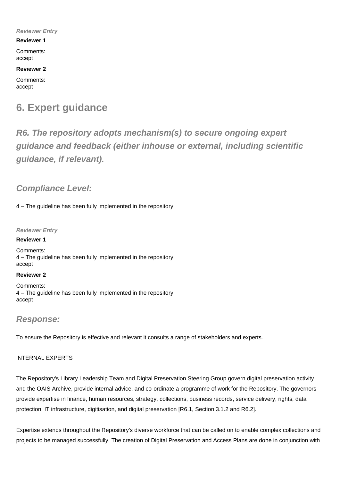#### **Reviewer Entry**

#### **Reviewer 1**

Comments: accept

**Reviewer 2**

Comments: accept

## **6. Expert guidance**

**R6. The repository adopts mechanism(s) to secure ongoing expert guidance and feedback (either inhouse or external, including scientific guidance, if relevant).**

**Compliance Level:**

4 – The guideline has been fully implemented in the repository

**Reviewer Entry**

**Reviewer 1** Comments: 4 – The guideline has been fully implemented in the repository accept

#### **Reviewer 2**

Comments: 4 – The guideline has been fully implemented in the repository accept

### **Response:**

To ensure the Repository is effective and relevant it consults a range of stakeholders and experts.

#### INTERNAL EXPERTS

The Repository's Library Leadership Team and Digital Preservation Steering Group govern digital preservation activity and the OAIS Archive, provide internal advice, and co-ordinate a programme of work for the Repository. The governors provide expertise in finance, human resources, strategy, collections, business records, service delivery, rights, data protection, IT infrastructure, digitisation, and digital preservation [R6.1, Section 3.1.2 and R6.2].

Expertise extends throughout the Repository's diverse workforce that can be called on to enable complex collections and projects to be managed successfully. The creation of Digital Preservation and Access Plans are done in conjunction with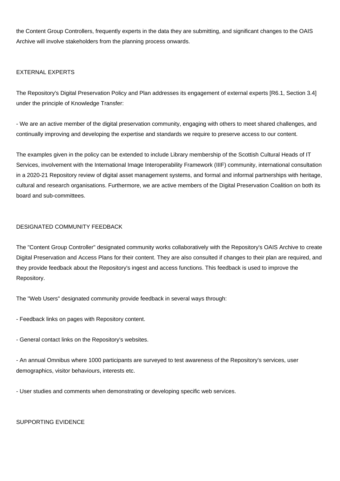the Content Group Controllers, frequently experts in the data they are submitting, and significant changes to the OAIS Archive will involve stakeholders from the planning process onwards.

#### EXTERNAL EXPERTS

The Repository's Digital Preservation Policy and Plan addresses its engagement of external experts [R6.1, Section 3.4] under the principle of Knowledge Transfer:

- We are an active member of the digital preservation community, engaging with others to meet shared challenges, and continually improving and developing the expertise and standards we require to preserve access to our content.

The examples given in the policy can be extended to include Library membership of the Scottish Cultural Heads of IT Services, involvement with the International Image Interoperability Framework (IIIF) community, international consultation in a 2020-21 Repository review of digital asset management systems, and formal and informal partnerships with heritage, cultural and research organisations. Furthermore, we are active members of the Digital Preservation Coalition on both its board and sub-committees.

#### DESIGNATED COMMUNITY FEEDBACK

The "Content Group Controller" designated community works collaboratively with the Repository's OAIS Archive to create Digital Preservation and Access Plans for their content. They are also consulted if changes to their plan are required, and they provide feedback about the Repository's ingest and access functions. This feedback is used to improve the Repository.

The "Web Users" designated community provide feedback in several ways through:

- Feedback links on pages with Repository content.
- General contact links on the Repository's websites.

- An annual Omnibus where 1000 participants are surveyed to test awareness of the Repository's services, user demographics, visitor behaviours, interests etc.

- User studies and comments when demonstrating or developing specific web services.

#### SUPPORTING EVIDENCE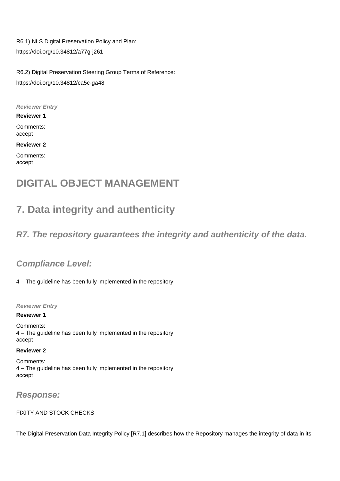R6.1) NLS Digital Preservation Policy and Plan: <https://doi.org/10.34812/a77g-j261>

R6.2) Digital Preservation Steering Group Terms of Reference: <https://doi.org/10.34812/ca5c-ga48>

**Reviewer Entry**

**Reviewer 1**

Comments: accept

**Reviewer 2**

Comments: accept

## **DIGITAL OBJECT MANAGEMENT**

# **7. Data integrity and authenticity**

**R7. The repository guarantees the integrity and authenticity of the data.**

## **Compliance Level:**

4 – The guideline has been fully implemented in the repository

**Reviewer Entry**

#### **Reviewer 1**

Comments: 4 – The guideline has been fully implemented in the repository accept

#### **Reviewer 2**

Comments: 4 – The guideline has been fully implemented in the repository accept

### **Response:**

#### FIXITY AND STOCK CHECKS

The Digital Preservation Data Integrity Policy [R7.1] describes how the Repository manages the integrity of data in its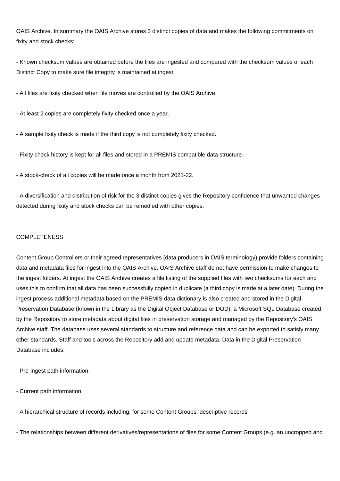OAIS Archive. In summary the OAIS Archive stores 3 distinct copies of data and makes the following commitments on fixity and stock checks:

- Known checksum values are obtained before the files are ingested and compared with the checksum values of each Distinct Copy to make sure file integrity is maintained at ingest.

- All files are fixity checked when file moves are controlled by the OAIS Archive.

- At least 2 copies are completely fixity checked once a year.

- A sample fixity check is made if the third copy is not completely fixity checked.

- Fixity check history is kept for all files and stored in a PREMIS compatible data structure.

- A stock-check of all copies will be made once a month from 2021-22.

- A diversification and distribution of risk for the 3 distinct copies gives the Repository confidence that unwanted changes detected during fixity and stock checks can be remedied with other copies.

#### **COMPLETENESS**

Content Group Controllers or their agreed representatives (data producers in OAIS terminology) provide folders containing data and metadata files for ingest into the OAIS Archive. OAIS Archive staff do not have permission to make changes to the ingest folders. At ingest the OAIS Archive creates a file listing of the supplied files with two checksums for each and uses this to confirm that all data has been successfully copied in duplicate (a third copy is made at a later date). During the ingest process additional metadata based on the PREMIS data dictionary is also created and stored in the Digital Preservation Database (known in the Library as the Digital Object Database or DOD), a Microsoft SQL Database created by the Repository to store metadata about digital files in preservation storage and managed by the Repository's OAIS Archive staff. The database uses several standards to structure and reference data and can be exported to satisfy many other standards. Staff and tools across the Repository add and update metadata. Data in the Digital Preservation Database includes:

- Pre-ingest path information.

- Current path information.

- A hierarchical structure of records including, for some Content Groups, descriptive records

- The relationships between different derivatives/representations of files for some Content Groups (e.g. an uncropped and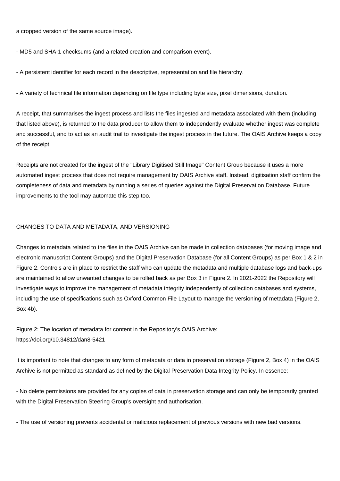a cropped version of the same source image).

- MD5 and SHA-1 checksums (and a related creation and comparison event).

- A persistent identifier for each record in the descriptive, representation and file hierarchy.

- A variety of technical file information depending on file type including byte size, pixel dimensions, duration.

A receipt, that summarises the ingest process and lists the files ingested and metadata associated with them (including that listed above), is returned to the data producer to allow them to independently evaluate whether ingest was complete and successful, and to act as an audit trail to investigate the ingest process in the future. The OAIS Archive keeps a copy of the receipt.

Receipts are not created for the ingest of the "Library Digitised Still Image" Content Group because it uses a more automated ingest process that does not require management by OAIS Archive staff. Instead, digitisation staff confirm the completeness of data and metadata by running a series of queries against the Digital Preservation Database. Future improvements to the tool may automate this step too.

#### CHANGES TO DATA AND METADATA, AND VERSIONING

Changes to metadata related to the files in the OAIS Archive can be made in collection databases (for moving image and electronic manuscript Content Groups) and the Digital Preservation Database (for all Content Groups) as per Box 1 & 2 in Figure 2. Controls are in place to restrict the staff who can update the metadata and multiple database logs and back-ups are maintained to allow unwanted changes to be rolled back as per Box 3 in Figure 2. In 2021-2022 the Repository will investigate ways to improve the management of metadata integrity independently of collection databases and systems, including the use of specifications such as Oxford Common File Layout to manage the versioning of metadata (Figure 2, Box 4b).

Figure 2: The location of metadata for content in the Repository's OAIS Archive: <https://doi.org/10.34812/dan8-5421>

It is important to note that changes to any form of metadata or data in preservation storage (Figure 2, Box 4) in the OAIS Archive is not permitted as standard as defined by the Digital Preservation Data Integrity Policy. In essence:

- No delete permissions are provided for any copies of data in preservation storage and can only be temporarily granted with the Digital Preservation Steering Group's oversight and authorisation.

- The use of versioning prevents accidental or malicious replacement of previous versions with new bad versions.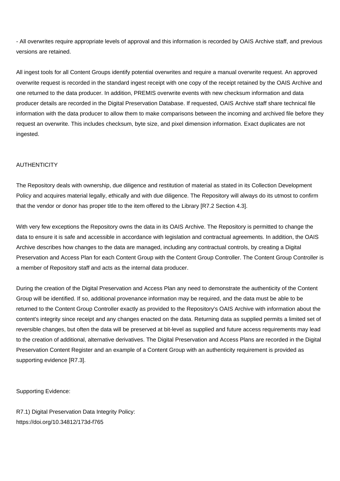- All overwrites require appropriate levels of approval and this information is recorded by OAIS Archive staff, and previous versions are retained.

All ingest tools for all Content Groups identify potential overwrites and require a manual overwrite request. An approved overwrite request is recorded in the standard ingest receipt with one copy of the receipt retained by the OAIS Archive and one returned to the data producer. In addition, PREMIS overwrite events with new checksum information and data producer details are recorded in the Digital Preservation Database. If requested, OAIS Archive staff share technical file information with the data producer to allow them to make comparisons between the incoming and archived file before they request an overwrite. This includes checksum, byte size, and pixel dimension information. Exact duplicates are not ingested.

#### **AUTHENTICITY**

The Repository deals with ownership, due diligence and restitution of material as stated in its Collection Development Policy and acquires material legally, ethically and with due diligence. The Repository will always do its utmost to confirm that the vendor or donor has proper title to the item offered to the Library [R7.2 Section 4.3].

With very few exceptions the Repository owns the data in its OAIS Archive. The Repository is permitted to change the data to ensure it is safe and accessible in accordance with legislation and contractual agreements. In addition, the OAIS Archive describes how changes to the data are managed, including any contractual controls, by creating a Digital Preservation and Access Plan for each Content Group with the Content Group Controller. The Content Group Controller is a member of Repository staff and acts as the internal data producer.

During the creation of the Digital Preservation and Access Plan any need to demonstrate the authenticity of the Content Group will be identified. If so, additional provenance information may be required, and the data must be able to be returned to the Content Group Controller exactly as provided to the Repository's OAIS Archive with information about the content's integrity since receipt and any changes enacted on the data. Returning data as supplied permits a limited set of reversible changes, but often the data will be preserved at bit-level as supplied and future access requirements may lead to the creation of additional, alternative derivatives. The Digital Preservation and Access Plans are recorded in the Digital Preservation Content Register and an example of a Content Group with an authenticity requirement is provided as supporting evidence [R7.3].

Supporting Evidence:

R7.1) Digital Preservation Data Integrity Policy: <https://doi.org/10.34812/173d-f765>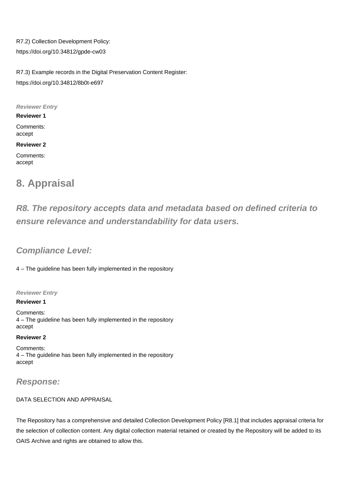R7.2) Collection Development Policy: <https://doi.org/10.34812/gpde-cw03>

R7.3) Example records in the Digital Preservation Content Register: <https://doi.org/10.34812/8b0t-e697>

**Reviewer Entry**

#### **Reviewer 1**

Comments: accept

#### **Reviewer 2**

Comments: accept

## **8. Appraisal**

## **R8. The repository accepts data and metadata based on defined criteria to ensure relevance and understandability for data users.**

## **Compliance Level:**

4 – The guideline has been fully implemented in the repository

#### **Reviewer Entry**

#### **Reviewer 1**

Comments: 4 – The guideline has been fully implemented in the repository accept

#### **Reviewer 2**

Comments: 4 – The guideline has been fully implemented in the repository accept

### **Response:**

#### DATA SELECTION AND APPRAISAL

The Repository has a comprehensive and detailed Collection Development Policy [R8.1] that includes appraisal criteria for the selection of collection content. Any digital collection material retained or created by the Repository will be added to its OAIS Archive and rights are obtained to allow this.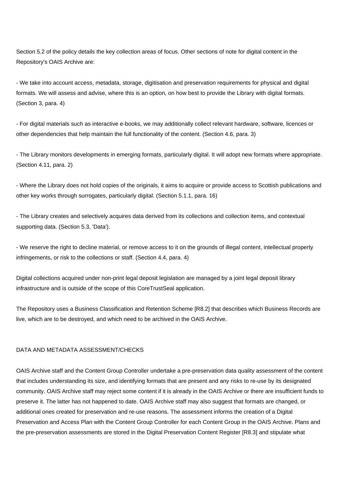Section 5.2 of the policy details the key collection areas of focus. Other sections of note for digital content in the Repository's OAIS Archive are:

- We take into account access, metadata, storage, digitisation and preservation requirements for physical and digital formats. We will assess and advise, where this is an option, on how best to provide the Library with digital formats. (Section 3, para. 4)

- For digital materials such as interactive e-books, we may additionally collect relevant hardware, software, licences or other dependencies that help maintain the full functionality of the content. (Section 4.6, para. 3)

- The Library monitors developments in emerging formats, particularly digital. It will adopt new formats where appropriate. (Section 4.11, para. 2)

- Where the Library does not hold copies of the originals, it aims to acquire or provide access to Scottish publications and other key works through surrogates, particularly digital. (Section 5.1.1, para. 16)

- The Library creates and selectively acquires data derived from its collections and collection items, and contextual supporting data. (Section 5.3, 'Data').

- We reserve the right to decline material, or remove access to it on the grounds of illegal content, intellectual property infringements, or risk to the collections or staff. (Section 4.4, para. 4)

Digital collections acquired under non-print legal deposit legislation are managed by a joint legal deposit library infrastructure and is outside of the scope of this CoreTrustSeal application.

The Repository uses a Business Classification and Retention Scheme [R8.2] that describes which Business Records are live, which are to be destroyed, and which need to be archived in the OAIS Archive.

#### DATA AND METADATA ASSESSMENT/CHECKS

OAIS Archive staff and the Content Group Controller undertake a pre-preservation data quality assessment of the content that includes understanding its size, and identifying formats that are present and any risks to re-use by its designated community. OAIS Archive staff may reject some content if it is already in the OAIS Archive or there are insufficient funds to preserve it. The latter has not happened to date. OAIS Archive staff may also suggest that formats are changed, or additional ones created for preservation and re-use reasons. The assessment informs the creation of a Digital Preservation and Access Plan with the Content Group Controller for each Content Group in the OAIS Archive. Plans and the pre-preservation assessments are stored in the Digital Preservation Content Register [R8.3] and stipulate what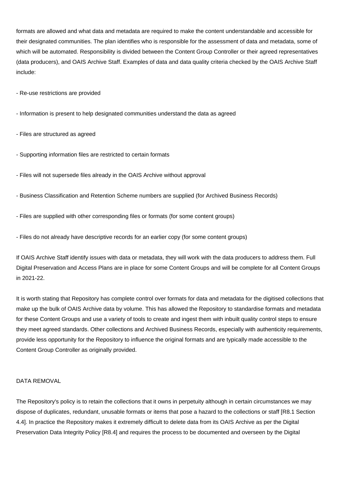formats are allowed and what data and metadata are required to make the content understandable and accessible for their designated communities. The plan identifies who is responsible for the assessment of data and metadata, some of which will be automated. Responsibility is divided between the Content Group Controller or their agreed representatives (data producers), and OAIS Archive Staff. Examples of data and data quality criteria checked by the OAIS Archive Staff include:

- Re-use restrictions are provided

- Information is present to help designated communities understand the data as agreed
- Files are structured as agreed
- Supporting information files are restricted to certain formats
- Files will not supersede files already in the OAIS Archive without approval
- Business Classification and Retention Scheme numbers are supplied (for Archived Business Records)
- Files are supplied with other corresponding files or formats (for some content groups)
- Files do not already have descriptive records for an earlier copy (for some content groups)

If OAIS Archive Staff identify issues with data or metadata, they will work with the data producers to address them. Full Digital Preservation and Access Plans are in place for some Content Groups and will be complete for all Content Groups in 2021-22.

It is worth stating that Repository has complete control over formats for data and metadata for the digitised collections that make up the bulk of OAIS Archive data by volume. This has allowed the Repository to standardise formats and metadata for these Content Groups and use a variety of tools to create and ingest them with inbuilt quality control steps to ensure they meet agreed standards. Other collections and Archived Business Records, especially with authenticity requirements, provide less opportunity for the Repository to influence the original formats and are typically made accessible to the Content Group Controller as originally provided.

#### DATA REMOVAL

The Repository's policy is to retain the collections that it owns in perpetuity although in certain circumstances we may dispose of duplicates, redundant, unusable formats or items that pose a hazard to the collections or staff [R8.1 Section 4.4]. In practice the Repository makes it extremely difficult to delete data from its OAIS Archive as per the Digital Preservation Data Integrity Policy [R8.4] and requires the process to be documented and overseen by the Digital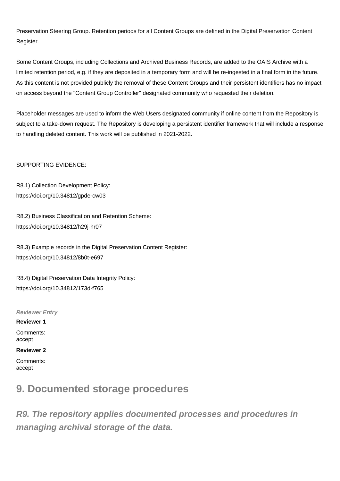Preservation Steering Group. Retention periods for all Content Groups are defined in the Digital Preservation Content Register.

Some Content Groups, including Collections and Archived Business Records, are added to the OAIS Archive with a limited retention period, e.g. if they are deposited in a temporary form and will be re-ingested in a final form in the future. As this content is not provided publicly the removal of these Content Groups and their persistent identifiers has no impact on access beyond the "Content Group Controller" designated community who requested their deletion.

Placeholder messages are used to inform the Web Users designated community if online content from the Repository is subject to a take-down request. The Repository is developing a persistent identifier framework that will include a response to handling deleted content. This work will be published in 2021-2022.

SUPPORTING EVIDENCE:

R8.1) Collection Development Policy: <https://doi.org/10.34812/gpde-cw03>

R8.2) Business Classification and Retention Scheme: <https://doi.org/10.34812/h29j-hr07>

R8.3) Example records in the Digital Preservation Content Register: <https://doi.org/10.34812/8b0t-e697>

R8.4) Digital Preservation Data Integrity Policy: <https://doi.org/10.34812/173d-f765>

**Reviewer Entry Reviewer 1** Comments: accept **Reviewer 2** Comments: accept

## **9. Documented storage procedures**

**R9. The repository applies documented processes and procedures in managing archival storage of the data.**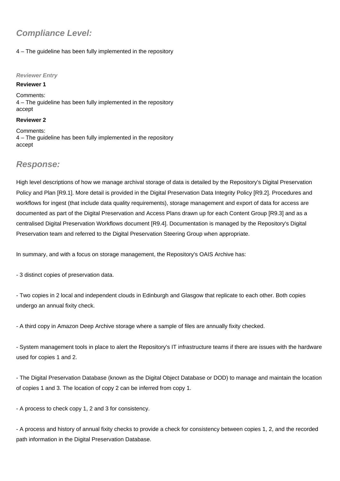## **Compliance Level:**

#### 4 – The guideline has been fully implemented in the repository

#### **Reviewer Entry**

#### **Reviewer 1**

Comments: 4 – The guideline has been fully implemented in the repository accept

#### **Reviewer 2**

Comments: 4 – The guideline has been fully implemented in the repository accept

### **Response:**

High level descriptions of how we manage archival storage of data is detailed by the Repository's Digital Preservation Policy and Plan [R9.1]. More detail is provided in the Digital Preservation Data Integrity Policy [R9.2]. Procedures and workflows for ingest (that include data quality requirements), storage management and export of data for access are documented as part of the Digital Preservation and Access Plans drawn up for each Content Group [R9.3] and as a centralised Digital Preservation Workflows document [R9.4]. Documentation is managed by the Repository's Digital Preservation team and referred to the Digital Preservation Steering Group when appropriate.

In summary, and with a focus on storage management, the Repository's OAIS Archive has:

- 3 distinct copies of preservation data.

- Two copies in 2 local and independent clouds in Edinburgh and Glasgow that replicate to each other. Both copies undergo an annual fixity check.

- A third copy in Amazon Deep Archive storage where a sample of files are annually fixity checked.

- System management tools in place to alert the Repository's IT infrastructure teams if there are issues with the hardware used for copies 1 and 2.

- The Digital Preservation Database (known as the Digital Object Database or DOD) to manage and maintain the location of copies 1 and 3. The location of copy 2 can be inferred from copy 1.

- A process to check copy 1, 2 and 3 for consistency.

- A process and history of annual fixity checks to provide a check for consistency between copies 1, 2, and the recorded path information in the Digital Preservation Database.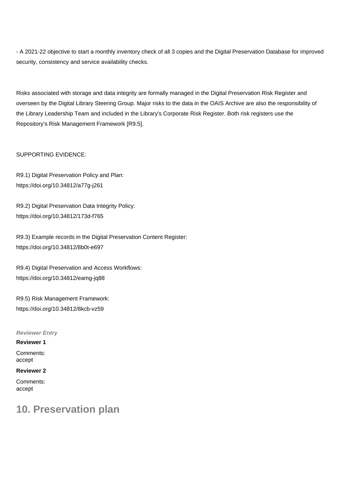- A 2021-22 objective to start a monthly inventory check of all 3 copies and the Digital Preservation Database for improved security, consistency and service availability checks.

Risks associated with storage and data integrity are formally managed in the Digital Preservation Risk Register and overseen by the Digital Library Steering Group. Major risks to the data in the OAIS Archive are also the responsibility of the Library Leadership Team and included in the Library's Corporate Risk Register. Both risk registers use the Repository's Risk Management Framework [R9.5].

#### SUPPORTING EVIDENCE:

R9.1) Digital Preservation Policy and Plan: <https://doi.org/10.34812/a77g-j261>

R9.2) Digital Preservation Data Integrity Policy: <https://doi.org/10.34812/173d-f765>

R9.3) Example records in the Digital Preservation Content Register: <https://doi.org/10.34812/8b0t-e697>

R9.4) Digital Preservation and Access Workflows: <https://doi.org/10.34812/eamg-jq88>

R9.5) Risk Management Framework: <https://doi.org/10.34812/8kcb-vz59>

**Reviewer Entry**

#### **Reviewer 1**

Comments: accept

#### **Reviewer 2**

Comments: accept

## **10. Preservation plan**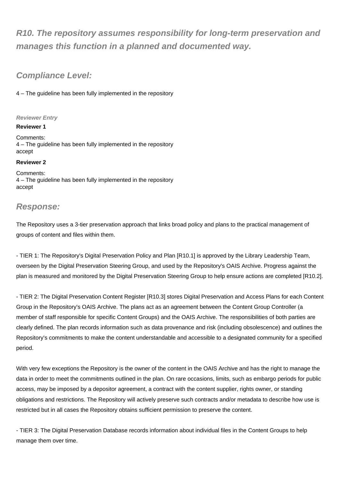## **R10. The repository assumes responsibility for long-term preservation and manages this function in a planned and documented way.**

## **Compliance Level:**

4 – The guideline has been fully implemented in the repository

#### **Reviewer Entry**

#### **Reviewer 1**

Comments: 4 – The guideline has been fully implemented in the repository accept

#### **Reviewer 2**

Comments: 4 – The guideline has been fully implemented in the repository accept

### **Response:**

The Repository uses a 3-tier preservation approach that links broad policy and plans to the practical management of groups of content and files within them.

- TIER 1: The Repository's Digital Preservation Policy and Plan [R10.1] is approved by the Library Leadership Team, overseen by the Digital Preservation Steering Group, and used by the Repository's OAIS Archive. Progress against the plan is measured and monitored by the Digital Preservation Steering Group to help ensure actions are completed [R10.2].

- TIER 2: The Digital Preservation Content Register [R10.3] stores Digital Preservation and Access Plans for each Content Group in the Repository's OAIS Archive. The plans act as an agreement between the Content Group Controller (a member of staff responsible for specific Content Groups) and the OAIS Archive. The responsibilities of both parties are clearly defined. The plan records information such as data provenance and risk (including obsolescence) and outlines the Repository's commitments to make the content understandable and accessible to a designated community for a specified period.

With very few exceptions the Repository is the owner of the content in the OAIS Archive and has the right to manage the data in order to meet the commitments outlined in the plan. On rare occasions, limits, such as embargo periods for public access, may be imposed by a depositor agreement, a contract with the content supplier, rights owner, or standing obligations and restrictions. The Repository will actively preserve such contracts and/or metadata to describe how use is restricted but in all cases the Repository obtains sufficient permission to preserve the content.

- TIER 3: The Digital Preservation Database records information about individual files in the Content Groups to help manage them over time.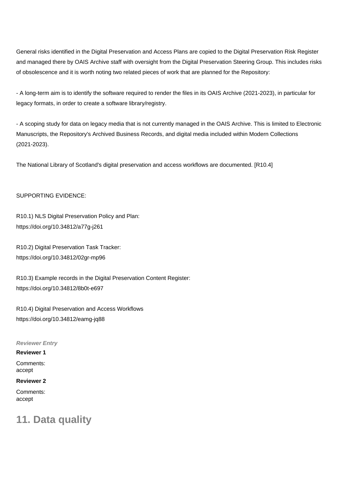General risks identified in the Digital Preservation and Access Plans are copied to the Digital Preservation Risk Register and managed there by OAIS Archive staff with oversight from the Digital Preservation Steering Group. This includes risks of obsolescence and it is worth noting two related pieces of work that are planned for the Repository:

- A long-term aim is to identify the software required to render the files in its OAIS Archive (2021-2023), in particular for legacy formats, in order to create a software library/registry.

- A scoping study for data on legacy media that is not currently managed in the OAIS Archive. This is limited to Electronic Manuscripts, the Repository's Archived Business Records, and digital media included within Modern Collections (2021-2023).

The National Library of Scotland's digital preservation and access workflows are documented. [R10.4]

#### SUPPORTING EVIDENCE:

R10.1) NLS Digital Preservation Policy and Plan: <https://doi.org/10.34812/a77g-j261>

R10.2) Digital Preservation Task Tracker: <https://doi.org/10.34812/02gr-mp96>

R10.3) Example records in the Digital Preservation Content Register: <https://doi.org/10.34812/8b0t-e697>

R10.4) Digital Preservation and Access Workflows <https://doi.org/10.34812/eamg-jq88>

#### **Reviewer Entry**

#### **Reviewer 1**

Comments: accept

#### **Reviewer 2**

Comments: accept

## **11. Data quality**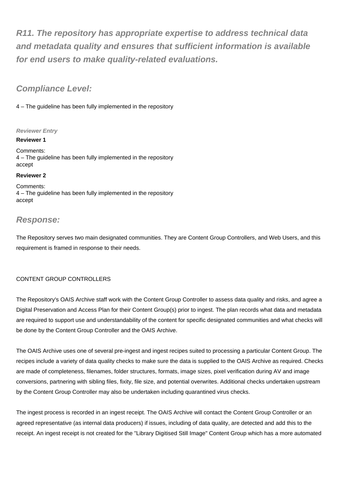**R11. The repository has appropriate expertise to address technical data and metadata quality and ensures that sufficient information is available for end users to make quality-related evaluations.**

## **Compliance Level:**

4 – The guideline has been fully implemented in the repository

#### **Reviewer Entry**

#### **Reviewer 1**

Comments: 4 – The guideline has been fully implemented in the repository accept

#### **Reviewer 2**

Comments: 4 – The guideline has been fully implemented in the repository accept

### **Response:**

The Repository serves two main designated communities. They are Content Group Controllers, and Web Users, and this requirement is framed in response to their needs.

#### CONTENT GROUP CONTROLLERS

The Repository's OAIS Archive staff work with the Content Group Controller to assess data quality and risks, and agree a Digital Preservation and Access Plan for their Content Group(s) prior to ingest. The plan records what data and metadata are required to support use and understandability of the content for specific designated communities and what checks will be done by the Content Group Controller and the OAIS Archive.

The OAIS Archive uses one of several pre-ingest and ingest recipes suited to processing a particular Content Group. The recipes include a variety of data quality checks to make sure the data is supplied to the OAIS Archive as required. Checks are made of completeness, filenames, folder structures, formats, image sizes, pixel verification during AV and image conversions, partnering with sibling files, fixity, file size, and potential overwrites. Additional checks undertaken upstream by the Content Group Controller may also be undertaken including quarantined virus checks.

The ingest process is recorded in an ingest receipt. The OAIS Archive will contact the Content Group Controller or an agreed representative (as internal data producers) if issues, including of data quality, are detected and add this to the receipt. An ingest receipt is not created for the "Library Digitised Still Image" Content Group which has a more automated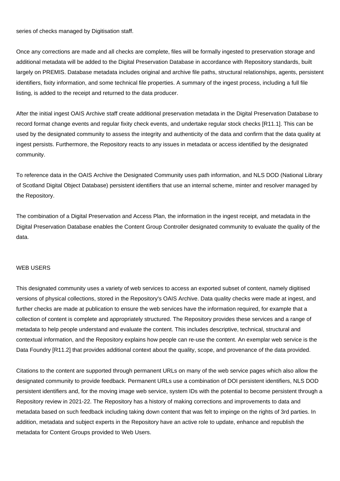series of checks managed by Digitisation staff.

Once any corrections are made and all checks are complete, files will be formally ingested to preservation storage and additional metadata will be added to the Digital Preservation Database in accordance with Repository standards, built largely on PREMIS. Database metadata includes original and archive file paths, structural relationships, agents, persistent identifiers, fixity information, and some technical file properties. A summary of the ingest process, including a full file listing, is added to the receipt and returned to the data producer.

After the initial ingest OAIS Archive staff create additional preservation metadata in the Digital Preservation Database to record format change events and regular fixity check events, and undertake regular stock checks [R11.1]. This can be used by the designated community to assess the integrity and authenticity of the data and confirm that the data quality at ingest persists. Furthermore, the Repository reacts to any issues in metadata or access identified by the designated community.

To reference data in the OAIS Archive the Designated Community uses path information, and NLS DOD (National Library of Scotland Digital Object Database) persistent identifiers that use an internal scheme, minter and resolver managed by the Repository.

The combination of a Digital Preservation and Access Plan, the information in the ingest receipt, and metadata in the Digital Preservation Database enables the Content Group Controller designated community to evaluate the quality of the data.

#### WEB USERS

This designated community uses a variety of web services to access an exported subset of content, namely digitised versions of physical collections, stored in the Repository's OAIS Archive. Data quality checks were made at ingest, and further checks are made at publication to ensure the web services have the information required, for example that a collection of content is complete and appropriately structured. The Repository provides these services and a range of metadata to help people understand and evaluate the content. This includes descriptive, technical, structural and contextual information, and the Repository explains how people can re-use the content. An exemplar web service is the Data Foundry [R11.2] that provides additional context about the quality, scope, and provenance of the data provided.

Citations to the content are supported through permanent URLs on many of the web service pages which also allow the designated community to provide feedback. Permanent URLs use a combination of DOI persistent identifiers, NLS DOD persistent identifiers and, for the moving image web service, system IDs with the potential to become persistent through a Repository review in 2021-22. The Repository has a history of making corrections and improvements to data and metadata based on such feedback including taking down content that was felt to impinge on the rights of 3rd parties. In addition, metadata and subject experts in the Repository have an active role to update, enhance and republish the metadata for Content Groups provided to Web Users.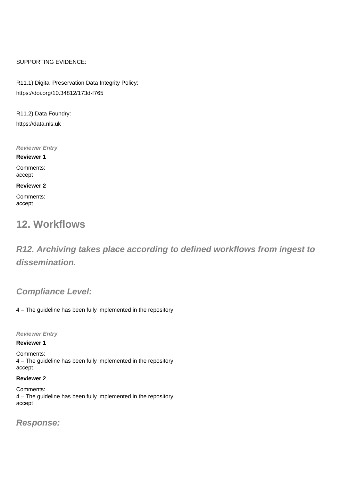#### SUPPORTING EVIDENCE:

R11.1) Digital Preservation Data Integrity Policy: <https://doi.org/10.34812/173d-f765>

R11.2) Data Foundry: <https://data.nls.uk>

**Reviewer Entry**

**Reviewer 1** Comments: accept

#### **Reviewer 2**

Comments: accept

## **12. Workflows**

**R12. Archiving takes place according to defined workflows from ingest to dissemination.**

## **Compliance Level:**

4 – The guideline has been fully implemented in the repository

**Reviewer Entry**

#### **Reviewer 1**

Comments: 4 – The guideline has been fully implemented in the repository accept

#### **Reviewer 2**

Comments: 4 – The guideline has been fully implemented in the repository accept

**Response:**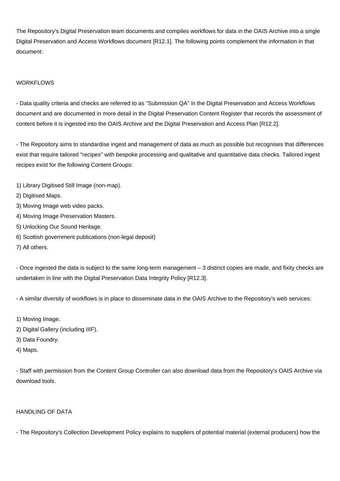The Repository's Digital Preservation team documents and compiles workflows for data in the OAIS Archive into a single Digital Preservation and Access Workflows document [R12.1]. The following points complement the information in that document:

#### WORKFLOWS

- Data quality criteria and checks are referred to as "Submission QA" in the Digital Preservation and Access Workflows document and are documented in more detail in the Digital Preservation Content Register that records the assessment of content before it is ingested into the OAIS Archive and the Digital Preservation and Access Plan [R12.2].

- The Repository aims to standardise ingest and management of data as much as possible but recognises that differences exist that require tailored "recipes" with bespoke processing and qualitative and quantitative data checks. Tailored ingest recipes exist for the following Content Groups:

- 1) Library Digitised Still Image (non-map).
- 2) Digitised Maps.
- 3) Moving Image web video packs.
- 4) Moving Image Preservation Masters.
- 5) Unlocking Our Sound Heritage.
- 6) Scottish government publications (non-legal deposit)
- 7) All others.

- Once ingested the data is subject to the same long-term management – 3 distinct copies are made, and fixity checks are undertaken in line with the Digital Preservation Data Integrity Policy [R12.3].

- A similar diversity of workflows is in place to disseminate data in the OAIS Archive to the Repository's web services:

- 1) Moving Image.
- 2) Digital Gallery (including IIIF).
- 3) Data Foundry.
- 4) Maps.

- Staff with permission from the Content Group Controller can also download data from the Repository's OAIS Archive via download tools.

#### HANDLING OF DATA

- The Repository's Collection Development Policy explains to suppliers of potential material (external producers) how the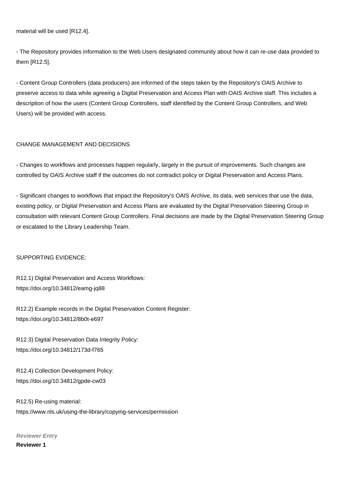material will be used [R12.4].

- The Repository provides information to the Web Users designated community about how it can re-use data provided to them [R12.5].

- Content Group Controllers (data producers) are informed of the steps taken by the Repository's OAIS Archive to preserve access to data while agreeing a Digital Preservation and Access Plan with OAIS Archive staff. This includes a description of how the users (Content Group Controllers, staff identified by the Content Group Controllers, and Web Users) will be provided with access.

#### CHANGE MANAGEMENT AND DECISIONS

- Changes to workflows and processes happen regularly, largely in the pursuit of improvements. Such changes are controlled by OAIS Archive staff if the outcomes do not contradict policy or Digital Preservation and Access Plans.

- Significant changes to workflows that impact the Repository's OAIS Archive, its data, web services that use the data, existing policy, or Digital Preservation and Access Plans are evaluated by the Digital Preservation Steering Group in consultation with relevant Content Group Controllers. Final decisions are made by the Digital Preservation Steering Group or escalated to the Library Leadership Team.

#### SUPPORTING EVIDENCE:

R12.1) Digital Preservation and Access Workflows: <https://doi.org/10.34812/eamg-jq88>

R12.2) Example records in the Digital Preservation Content Register: <https://doi.org/10.34812/8b0t-e697>

R12.3) Digital Preservation Data Integrity Policy: <https://doi.org/10.34812/173d-f765>

R12.4) Collection Development Policy: <https://doi.org/10.34812/gpde-cw03>

R12.5) Re-using material: <https://www.nls.uk/using-the-library/copying-services/permission>

**Reviewer Entry Reviewer 1**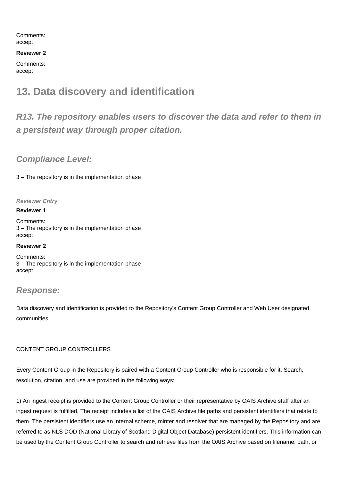Comments: accept

#### **Reviewer 2**

Comments: accept

## **13. Data discovery and identification**

**R13. The repository enables users to discover the data and refer to them in a persistent way through proper citation.**

## **Compliance Level:**

3 – The repository is in the implementation phase

**Reviewer Entry**

#### **Reviewer 1**

Comments: 3 – The repository is in the implementation phase accept

#### **Reviewer 2**

Comments: 3 – The repository is in the implementation phase accept

### **Response:**

Data discovery and identification is provided to the Repository's Content Group Controller and Web User designated communities.

#### CONTENT GROUP CONTROLLERS

Every Content Group in the Repository is paired with a Content Group Controller who is responsible for it. Search, resolution, citation, and use are provided in the following ways:

1) An ingest receipt is provided to the Content Group Controller or their representative by OAIS Archive staff after an ingest request is fulfilled. The receipt includes a list of the OAIS Archive file paths and persistent identifiers that relate to them. The persistent identifiers use an internal scheme, minter and resolver that are managed by the Repository and are referred to as NLS DOD (National Library of Scotland Digital Object Database) persistent identifiers. This information can be used by the Content Group Controller to search and retrieve files from the OAIS Archive based on filename, path, or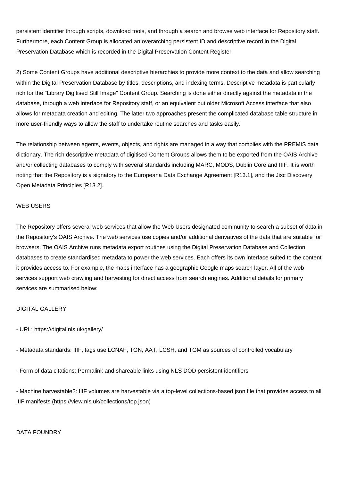persistent identifier through scripts, download tools, and through a search and browse web interface for Repository staff. Furthermore, each Content Group is allocated an overarching persistent ID and descriptive record in the Digital Preservation Database which is recorded in the Digital Preservation Content Register.

2) Some Content Groups have additional descriptive hierarchies to provide more context to the data and allow searching within the Digital Preservation Database by titles, descriptions, and indexing terms. Descriptive metadata is particularly rich for the "Library Digitised Still Image" Content Group. Searching is done either directly against the metadata in the database, through a web interface for Repository staff, or an equivalent but older Microsoft Access interface that also allows for metadata creation and editing. The latter two approaches present the complicated database table structure in more user-friendly ways to allow the staff to undertake routine searches and tasks easily.

The relationship between agents, events, objects, and rights are managed in a way that complies with the PREMIS data dictionary. The rich descriptive metadata of digitised Content Groups allows them to be exported from the OAIS Archive and/or collecting databases to comply with several standards including MARC, MODS, Dublin Core and IIIF. It is worth noting that the Repository is a signatory to the Europeana Data Exchange Agreement [R13.1], and the Jisc Discovery Open Metadata Principles [R13.2].

#### WEB USERS

The Repository offers several web services that allow the Web Users designated community to search a subset of data in the Repository's OAIS Archive. The web services use copies and/or additional derivatives of the data that are suitable for browsers. The OAIS Archive runs metadata export routines using the Digital Preservation Database and Collection databases to create standardised metadata to power the web services. Each offers its own interface suited to the content it provides access to. For example, the maps interface has a geographic Google maps search layer. All of the web services support web crawling and harvesting for direct access from search engines. Additional details for primary services are summarised below:

#### DIGITAL GALLERY

#### - URL:<https://digital.nls.uk/gallery/>

- Metadata standards: IIIF, tags use LCNAF, TGN, AAT, LCSH, and TGM as sources of controlled vocabulary

- Form of data citations: Permalink and shareable links using NLS DOD persistent identifiers

- Machine harvestable?: IIIF volumes are harvestable via a top-level collections-based json file that provides access to all IIIF manifests [\(https://view.nls.uk/collections/top.json\)](https://view.nls.uk/collections/top.json)

#### DATA FOUNDRY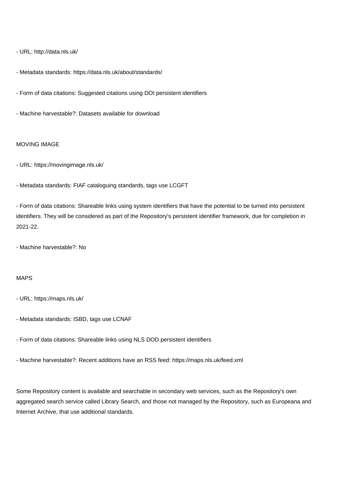#### - URL:<http://data.nls.uk/>

- Metadata standards:<https://data.nls.uk/about/standards/>
- Form of data citations: Suggested citations using DOI persistent identifiers
- Machine harvestable?: Datasets available for download

#### MOVING IMAGE

- URL:<https://movingimage.nls.uk/>

- Metadata standards: FIAF cataloguing standards, tags use LCGFT

- Form of data citations: Shareable links using system identifiers that have the potential to be turned into persistent identifiers. They will be considered as part of the Repository's persistent identifier framework, due for completion in 2021-22.

- Machine harvestable?: No

#### MAPS

- URL:<https://maps.nls.uk/>

- Metadata standards: ISBD, tags use LCNAF
- Form of data citations: Shareable links using NLS DOD persistent identifiers
- Machine harvestable?: Recent additions have an RSS feed: <https://maps.nls.uk/feed.xml>

Some Repository content is available and searchable in secondary web services, such as the Repository's own aggregated search service called Library Search, and those not managed by the Repository, such as Europeana and Internet Archive, that use additional standards.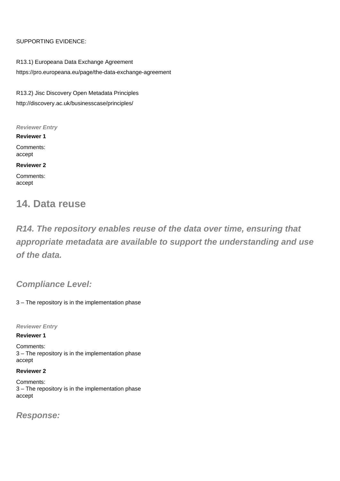#### SUPPORTING EVIDENCE:

R13.1) Europeana Data Exchange Agreement <https://pro.europeana.eu/page/the-data-exchange-agreement>

R13.2) Jisc Discovery Open Metadata Principles <http://discovery.ac.uk/businesscase/principles/>

**Reviewer Entry**

**Reviewer 1**

Comments: accept

**Reviewer 2**

Comments: accept

## **14. Data reuse**

**R14. The repository enables reuse of the data over time, ensuring that appropriate metadata are available to support the understanding and use of the data.**

**Compliance Level:**

3 – The repository is in the implementation phase

**Reviewer Entry**

#### **Reviewer 1**

Comments: 3 – The repository is in the implementation phase accept

#### **Reviewer 2**

Comments: 3 – The repository is in the implementation phase accept

**Response:**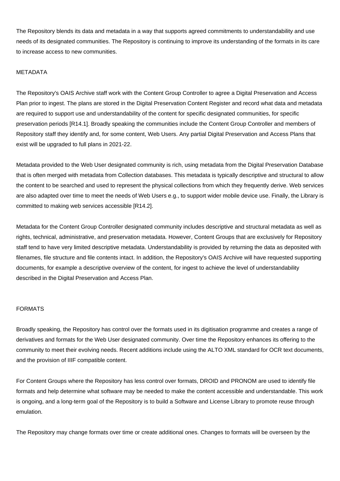The Repository blends its data and metadata in a way that supports agreed commitments to understandability and use needs of its designated communities. The Repository is continuing to improve its understanding of the formats in its care to increase access to new communities.

#### METADATA

The Repository's OAIS Archive staff work with the Content Group Controller to agree a Digital Preservation and Access Plan prior to ingest. The plans are stored in the Digital Preservation Content Register and record what data and metadata are required to support use and understandability of the content for specific designated communities, for specific preservation periods [R14.1]. Broadly speaking the communities include the Content Group Controller and members of Repository staff they identify and, for some content, Web Users. Any partial Digital Preservation and Access Plans that exist will be upgraded to full plans in 2021-22.

Metadata provided to the Web User designated community is rich, using metadata from the Digital Preservation Database that is often merged with metadata from Collection databases. This metadata is typically descriptive and structural to allow the content to be searched and used to represent the physical collections from which they frequently derive. Web services are also adapted over time to meet the needs of Web Users e.g., to support wider mobile device use. Finally, the Library is committed to making web services accessible [R14.2].

Metadata for the Content Group Controller designated community includes descriptive and structural metadata as well as rights, technical, administrative, and preservation metadata. However, Content Groups that are exclusively for Repository staff tend to have very limited descriptive metadata. Understandability is provided by returning the data as deposited with filenames, file structure and file contents intact. In addition, the Repository's OAIS Archive will have requested supporting documents, for example a descriptive overview of the content, for ingest to achieve the level of understandability described in the Digital Preservation and Access Plan.

#### FORMATS

Broadly speaking, the Repository has control over the formats used in its digitisation programme and creates a range of derivatives and formats for the Web User designated community. Over time the Repository enhances its offering to the community to meet their evolving needs. Recent additions include using the ALTO XML standard for OCR text documents, and the provision of IIIF compatible content.

For Content Groups where the Repository has less control over formats, DROID and PRONOM are used to identify file formats and help determine what software may be needed to make the content accessible and understandable. This work is ongoing, and a long-term goal of the Repository is to build a Software and License Library to promote reuse through emulation.

The Repository may change formats over time or create additional ones. Changes to formats will be overseen by the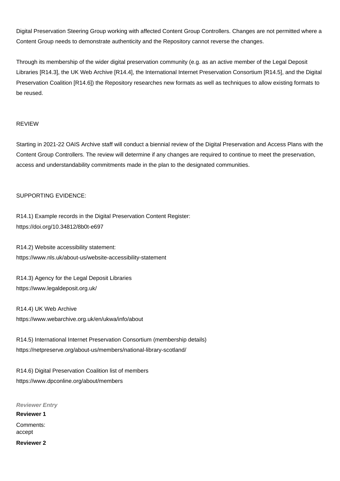Digital Preservation Steering Group working with affected Content Group Controllers. Changes are not permitted where a Content Group needs to demonstrate authenticity and the Repository cannot reverse the changes.

Through its membership of the wider digital preservation community (e.g. as an active member of the Legal Deposit Libraries [R14.3], the UK Web Archive [R14.4], the International Internet Preservation Consortium [R14.5], and the Digital Preservation Coalition [R14.6]) the Repository researches new formats as well as techniques to allow existing formats to be reused.

#### REVIEW

Starting in 2021-22 OAIS Archive staff will conduct a biennial review of the Digital Preservation and Access Plans with the Content Group Controllers. The review will determine if any changes are required to continue to meet the preservation, access and understandability commitments made in the plan to the designated communities.

#### SUPPORTING EVIDENCE:

R14.1) Example records in the Digital Preservation Content Register: <https://doi.org/10.34812/8b0t-e697>

R14.2) Website accessibility statement: <https://www.nls.uk/about-us/website-accessibility-statement>

R14.3) Agency for the Legal Deposit Libraries <https://www.legaldeposit.org.uk/>

R14.4) UK Web Archive <https://www.webarchive.org.uk/en/ukwa/info/about>

R14.5) International Internet Preservation Consortium (membership details) <https://netpreserve.org/about-us/members/national-library-scotland/>

R14.6) Digital Preservation Coalition list of members <https://www.dpconline.org/about/members>

**Reviewer Entry Reviewer 1** Comments: accept **Reviewer 2**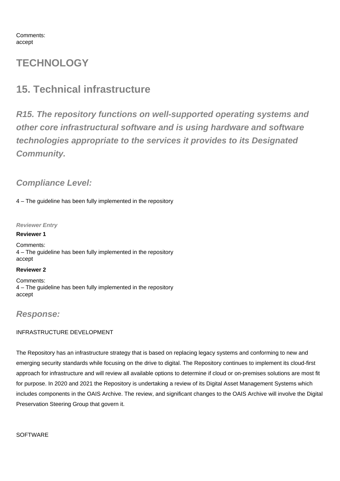# **TECHNOLOGY**

# **15. Technical infrastructure**

**R15. The repository functions on well-supported operating systems and other core infrastructural software and is using hardware and software technologies appropriate to the services it provides to its Designated Community.**

**Compliance Level:**

4 – The guideline has been fully implemented in the repository

**Reviewer Entry**

**Reviewer 1**

Comments: 4 – The guideline has been fully implemented in the repository accept

**Reviewer 2**

Comments: 4 – The guideline has been fully implemented in the repository accept

### **Response:**

#### INFRASTRUCTURE DEVELOPMENT

The Repository has an infrastructure strategy that is based on replacing legacy systems and conforming to new and emerging security standards while focusing on the drive to digital. The Repository continues to implement its cloud-first approach for infrastructure and will review all available options to determine if cloud or on-premises solutions are most fit for purpose. In 2020 and 2021 the Repository is undertaking a review of its Digital Asset Management Systems which includes components in the OAIS Archive. The review, and significant changes to the OAIS Archive will involve the Digital Preservation Steering Group that govern it.

**SOFTWARE**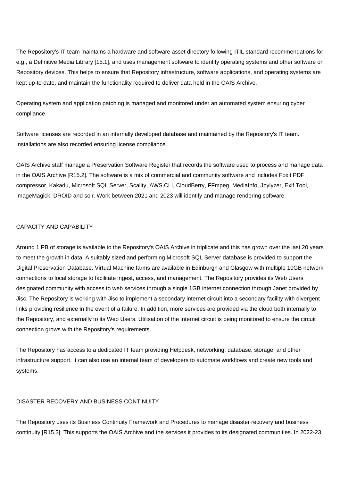The Repository's IT team maintains a hardware and software asset directory following ITIL standard recommendations for e.g., a Definitive Media Library [15.1], and uses management software to identify operating systems and other software on Repository devices. This helps to ensure that Repository infrastructure, software applications, and operating systems are kept up-to-date, and maintain the functionality required to deliver data held in the OAIS Archive.

Operating system and application patching is managed and monitored under an automated system ensuring cyber compliance.

Software licenses are recorded in an internally developed database and maintained by the Repository's IT team. Installations are also recorded ensuring license compliance.

OAIS Archive staff manage a Preservation Software Register that records the software used to process and manage data in the OAIS Archive [R15.2]. The software is a mix of commercial and community software and includes Foxit PDF compressor, Kakadu, Microsoft SQL Server, Scality, AWS CLI, CloudBerry, FFmpeg, MediaInfo, Jpylyzer, Exif Tool, ImageMagick, DROID and solr. Work between 2021 and 2023 will identify and manage rendering software.

#### CAPACITY AND CAPABILITY

Around 1 PB of storage is available to the Repository's OAIS Archive in triplicate and this has grown over the last 20 years to meet the growth in data. A suitably sized and performing Microsoft SQL Server database is provided to support the Digital Preservation Database. Virtual Machine farms are available in Edinburgh and Glasgow with multiple 10GB network connections to local storage to facilitate ingest, access, and management. The Repository provides its Web Users designated community with access to web services through a single 1GB internet connection through Janet provided by Jisc. The Repository is working with Jisc to implement a secondary internet circuit into a secondary facility with divergent links providing resilience in the event of a failure. In addition, more services are provided via the cloud both internally to the Repository, and externally to its Web Users. Utilisation of the internet circuit is being monitored to ensure the circuit connection grows with the Repository's requirements.

The Repository has access to a dedicated IT team providing Helpdesk, networking, database, storage, and other infrastructure support. It can also use an internal team of developers to automate workflows and create new tools and systems.

#### DISASTER RECOVERY AND BUSINESS CONTINUITY

The Repository uses its Business Continuity Framework and Procedures to manage disaster recovery and business continuity [R15.3]. This supports the OAIS Archive and the services it provides to its designated communities. In 2022-23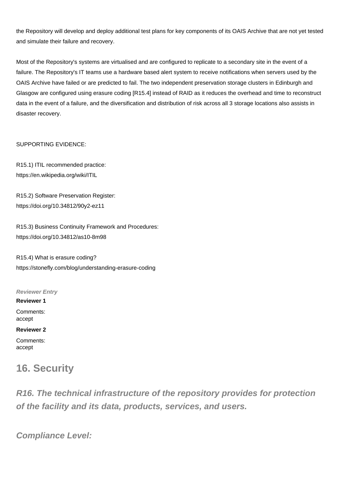the Repository will develop and deploy additional test plans for key components of its OAIS Archive that are not yet tested and simulate their failure and recovery.

Most of the Repository's systems are virtualised and are configured to replicate to a secondary site in the event of a failure. The Repository's IT teams use a hardware based alert system to receive notifications when servers used by the OAIS Archive have failed or are predicted to fail. The two independent preservation storage clusters in Edinburgh and Glasgow are configured using erasure coding [R15.4] instead of RAID as it reduces the overhead and time to reconstruct data in the event of a failure, and the diversification and distribution of risk across all 3 storage locations also assists in disaster recovery.

#### SUPPORTING EVIDENCE:

R15.1) ITIL recommended practice: <https://en.wikipedia.org/wiki/ITIL>

R15.2) Software Preservation Register: <https://doi.org/10.34812/90y2-ez11>

R15.3) Business Continuity Framework and Procedures: <https://doi.org/10.34812/as10-8m98>

R15.4) What is erasure coding? <https://stonefly.com/blog/understanding-erasure-coding>

#### **Reviewer Entry**

#### **Reviewer 1**

Comments: accept

#### **Reviewer 2**

Comments: accept

## **16. Security**

**R16. The technical infrastructure of the repository provides for protection of the facility and its data, products, services, and users.**

**Compliance Level:**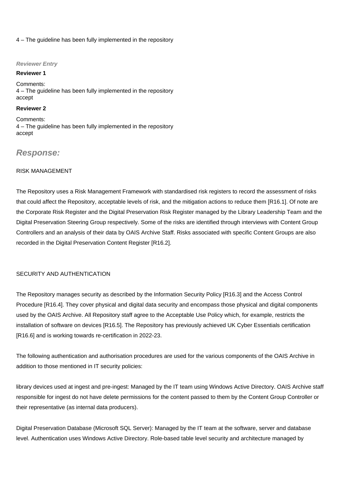#### 4 – The guideline has been fully implemented in the repository

#### **Reviewer Entry**

#### **Reviewer 1**

Comments: 4 – The guideline has been fully implemented in the repository accept

#### **Reviewer 2**

Comments: 4 – The guideline has been fully implemented in the repository accept

### **Response:**

#### RISK MANAGEMENT

The Repository uses a Risk Management Framework with standardised risk registers to record the assessment of risks that could affect the Repository, acceptable levels of risk, and the mitigation actions to reduce them [R16.1]. Of note are the Corporate Risk Register and the Digital Preservation Risk Register managed by the Library Leadership Team and the Digital Preservation Steering Group respectively. Some of the risks are identified through interviews with Content Group Controllers and an analysis of their data by OAIS Archive Staff. Risks associated with specific Content Groups are also recorded in the Digital Preservation Content Register [R16.2].

#### SECURITY AND AUTHENTICATION

The Repository manages security as described by the Information Security Policy [R16.3] and the Access Control Procedure [R16.4]. They cover physical and digital data security and encompass those physical and digital components used by the OAIS Archive. All Repository staff agree to the Acceptable Use Policy which, for example, restricts the installation of software on devices [R16.5]. The Repository has previously achieved UK Cyber Essentials certification [R16.6] and is working towards re-certification in 2022-23.

The following authentication and authorisation procedures are used for the various components of the OAIS Archive in addition to those mentioned in IT security policies:

library devices used at ingest and pre-ingest: Managed by the IT team using Windows Active Directory. OAIS Archive staff responsible for ingest do not have delete permissions for the content passed to them by the Content Group Controller or their representative (as internal data producers).

Digital Preservation Database (Microsoft SQL Server): Managed by the IT team at the software, server and database level. Authentication uses Windows Active Directory. Role-based table level security and architecture managed by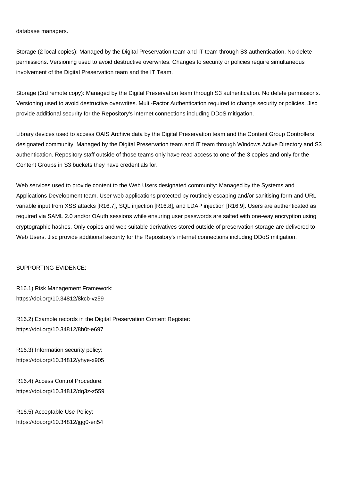database managers.

Storage (2 local copies): Managed by the Digital Preservation team and IT team through S3 authentication. No delete permissions. Versioning used to avoid destructive overwrites. Changes to security or policies require simultaneous involvement of the Digital Preservation team and the IT Team.

Storage (3rd remote copy): Managed by the Digital Preservation team through S3 authentication. No delete permissions. Versioning used to avoid destructive overwrites. Multi-Factor Authentication required to change security or policies. Jisc provide additional security for the Repository's internet connections including DDoS mitigation.

Library devices used to access OAIS Archive data by the Digital Preservation team and the Content Group Controllers designated community: Managed by the Digital Preservation team and IT team through Windows Active Directory and S3 authentication. Repository staff outside of those teams only have read access to one of the 3 copies and only for the Content Groups in S3 buckets they have credentials for.

Web services used to provide content to the Web Users designated community: Managed by the Systems and Applications Development team. User web applications protected by routinely escaping and/or sanitising form and URL variable input from XSS attacks [R16.7], SQL injection [R16.8], and LDAP injection [R16.9]. Users are authenticated as required via SAML 2.0 and/or OAuth sessions while ensuring user passwords are salted with one-way encryption using cryptographic hashes. Only copies and web suitable derivatives stored outside of preservation storage are delivered to Web Users. Jisc provide additional security for the Repository's internet connections including DDoS mitigation.

#### SUPPORTING EVIDENCE:

R16.1) Risk Management Framework: <https://doi.org/10.34812/8kcb-vz59>

R16.2) Example records in the Digital Preservation Content Register: <https://doi.org/10.34812/8b0t-e697>

R16.3) Information security policy: <https://doi.org/10.34812/yhye-x905>

R16.4) Access Control Procedure: <https://doi.org/10.34812/dq3z-z559>

R16.5) Acceptable Use Policy: <https://doi.org/10.34812/jgg0-en54>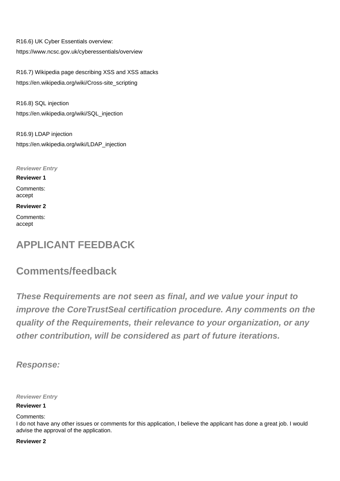R16.6) UK Cyber Essentials overview: <https://www.ncsc.gov.uk/cyberessentials/overview>

R16.7) Wikipedia page describing XSS and XSS attacks [https://en.wikipedia.org/wiki/Cross-site\\_scripting](https://en.wikipedia.org/wiki/Cross-site_scripting)

R16.8) SQL injection [https://en.wikipedia.org/wiki/SQL\\_injection](https://en.wikipedia.org/wiki/SQL_injection)

R16.9) LDAP injection [https://en.wikipedia.org/wiki/LDAP\\_injection](https://en.wikipedia.org/wiki/LDAP_injection)

**Reviewer Entry**

**Reviewer 1**

Comments: accept

**Reviewer 2**

Comments: accept

# **APPLICANT FEEDBACK**

## **Comments/feedback**

**These Requirements are not seen as final, and we value your input to improve the CoreTrustSeal certification procedure. Any comments on the quality of the Requirements, their relevance to your organization, or any other contribution, will be considered as part of future iterations.**

**Response:**

**Reviewer Entry**

**Reviewer 1**

Comments:

I do not have any other issues or comments for this application, I believe the applicant has done a great job. I would advise the approval of the application.

**Reviewer 2**